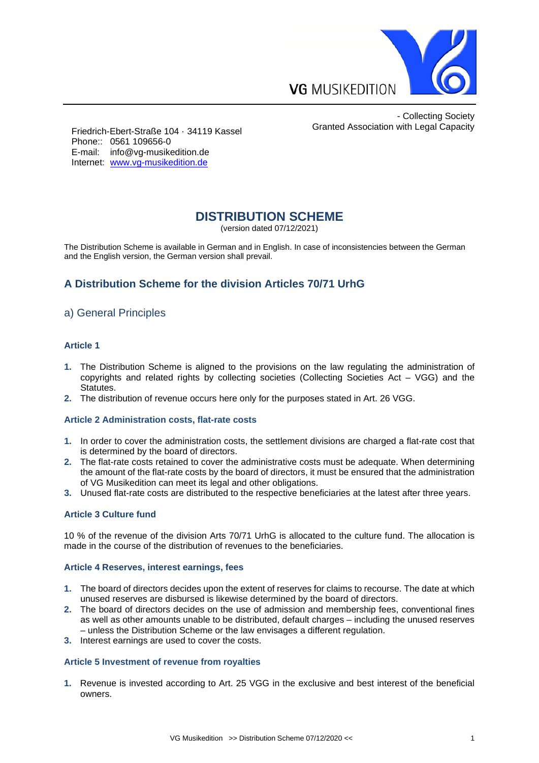

- Collecting Society Granted Association with Legal Capacity

Friedrich-Ebert-Straße 104 · 34119 Kassel Phone:: 0561 109656-0 E-mail: info@vg-musikedition.de Internet: [www.vg-musikedition.de](http://www.vg-musikedition.de/)

# **DISTRIBUTION SCHEME**

(version dated 07/12/2021)

The Distribution Scheme is available in German and in English. In case of inconsistencies between the German and the English version, the German version shall prevail.

# **A Distribution Scheme for the division Articles 70/71 UrhG**

# a) General Principles

#### **Article 1**

- **1.** The Distribution Scheme is aligned to the provisions on the law regulating the administration of copyrights and related rights by collecting societies (Collecting Societies Act – VGG) and the Statutes.
- **2.** The distribution of revenue occurs here only for the purposes stated in Art. 26 VGG.

#### **Article 2 Administration costs, flat-rate costs**

- **1.** In order to cover the administration costs, the settlement divisions are charged a flat-rate cost that is determined by the board of directors.
- **2.** The flat-rate costs retained to cover the administrative costs must be adequate. When determining the amount of the flat-rate costs by the board of directors, it must be ensured that the administration of VG Musikedition can meet its legal and other obligations.
- **3.** Unused flat-rate costs are distributed to the respective beneficiaries at the latest after three years.

#### **Article 3 Culture fund**

10 % of the revenue of the division Arts 70/71 UrhG is allocated to the culture fund. The allocation is made in the course of the distribution of revenues to the beneficiaries.

#### **Article 4 Reserves, interest earnings, fees**

- **1.** The board of directors decides upon the extent of reserves for claims to recourse. The date at which unused reserves are disbursed is likewise determined by the board of directors.
- **2.** The board of directors decides on the use of admission and membership fees, conventional fines as well as other amounts unable to be distributed, default charges – including the unused reserves – unless the Distribution Scheme or the law envisages a different regulation.
- **3.** Interest earnings are used to cover the costs.

#### **Article 5 Investment of revenue from royalties**

**1.** Revenue is invested according to Art. 25 VGG in the exclusive and best interest of the beneficial owners.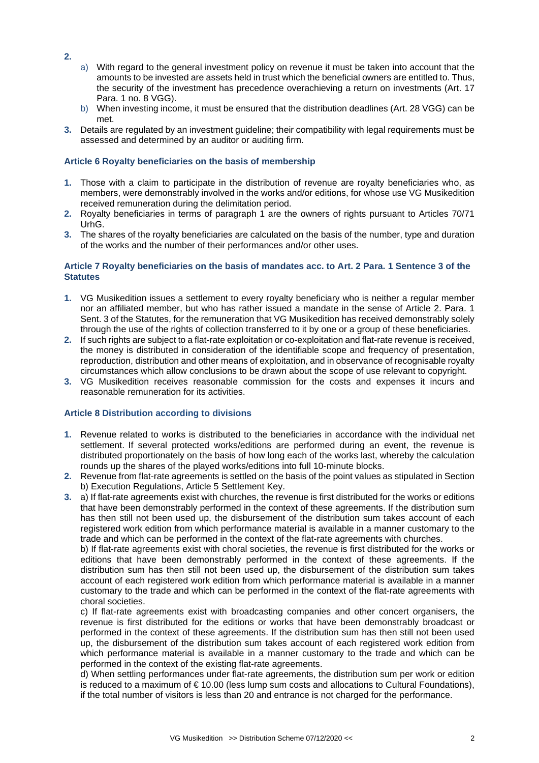- **2.**
- a) With regard to the general investment policy on revenue it must be taken into account that the amounts to be invested are assets held in trust which the beneficial owners are entitled to. Thus, the security of the investment has precedence overachieving a return on investments (Art. 17 Para. 1 no. 8 VGG).
- b) When investing income, it must be ensured that the distribution deadlines (Art. 28 VGG) can be met.
- **3.** Details are regulated by an investment guideline; their compatibility with legal requirements must be assessed and determined by an auditor or auditing firm.

## **Article 6 Royalty beneficiaries on the basis of membership**

- **1.** Those with a claim to participate in the distribution of revenue are royalty beneficiaries who, as members, were demonstrably involved in the works and/or editions, for whose use VG Musikedition received remuneration during the delimitation period.
- **2.** Royalty beneficiaries in terms of paragraph 1 are the owners of rights pursuant to Articles 70/71 UrhG.
- **3.** The shares of the royalty beneficiaries are calculated on the basis of the number, type and duration of the works and the number of their performances and/or other uses.

### **Article 7 Royalty beneficiaries on the basis of mandates acc. to Art. 2 Para. 1 Sentence 3 of the Statutes**

- **1.** VG Musikedition issues a settlement to every royalty beneficiary who is neither a regular member nor an affiliated member, but who has rather issued a mandate in the sense of Article 2. Para. 1 Sent. 3 of the Statutes, for the remuneration that VG Musikedition has received demonstrably solely through the use of the rights of collection transferred to it by one or a group of these beneficiaries.
- **2.** If such rights are subject to a flat-rate exploitation or co-exploitation and flat-rate revenue is received, the money is distributed in consideration of the identifiable scope and frequency of presentation, reproduction, distribution and other means of exploitation, and in observance of recognisable royalty circumstances which allow conclusions to be drawn about the scope of use relevant to copyright.
- **3.** VG Musikedition receives reasonable commission for the costs and expenses it incurs and reasonable remuneration for its activities.

## **Article 8 Distribution according to divisions**

- **1.** Revenue related to works is distributed to the beneficiaries in accordance with the individual net settlement. If several protected works/editions are performed during an event, the revenue is distributed proportionately on the basis of how long each of the works last, whereby the calculation rounds up the shares of the played works/editions into full 10-minute blocks.
- **2.** Revenue from flat-rate agreements is settled on the basis of the point values as stipulated in Section b) Execution Regulations, Article 5 Settlement Key.
- **3.** a) If flat-rate agreements exist with churches, the revenue is first distributed for the works or editions that have been demonstrably performed in the context of these agreements. If the distribution sum has then still not been used up, the disbursement of the distribution sum takes account of each registered work edition from which performance material is available in a manner customary to the trade and which can be performed in the context of the flat-rate agreements with churches.

b) If flat-rate agreements exist with choral societies, the revenue is first distributed for the works or editions that have been demonstrably performed in the context of these agreements. If the distribution sum has then still not been used up, the disbursement of the distribution sum takes account of each registered work edition from which performance material is available in a manner customary to the trade and which can be performed in the context of the flat-rate agreements with choral societies.

c) If flat-rate agreements exist with broadcasting companies and other concert organisers, the revenue is first distributed for the editions or works that have been demonstrably broadcast or performed in the context of these agreements. If the distribution sum has then still not been used up, the disbursement of the distribution sum takes account of each registered work edition from which performance material is available in a manner customary to the trade and which can be performed in the context of the existing flat-rate agreements.

d) When settling performances under flat-rate agreements, the distribution sum per work or edition is reduced to a maximum of  $\epsilon$  10.00 (less lump sum costs and allocations to Cultural Foundations), if the total number of visitors is less than 20 and entrance is not charged for the performance.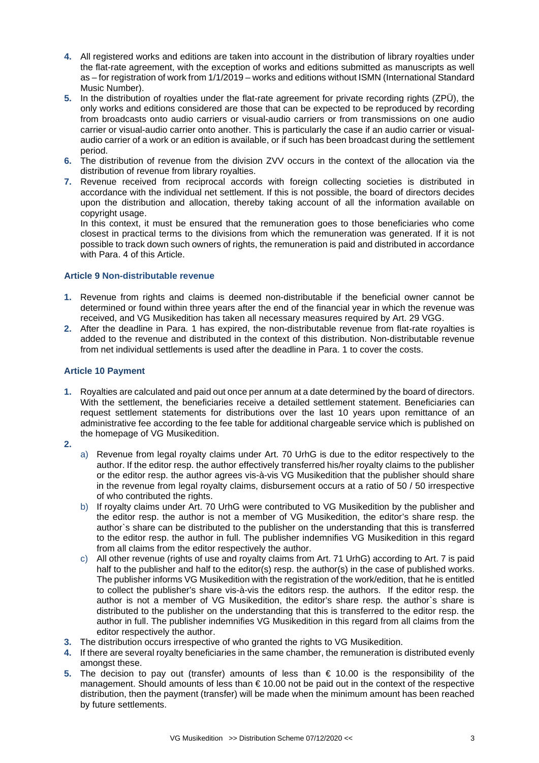- **4.** All registered works and editions are taken into account in the distribution of library royalties under the flat-rate agreement, with the exception of works and editions submitted as manuscripts as well as – for registration of work from 1/1/2019 – works and editions without ISMN (International Standard Music Number).
- **5.** In the distribution of royalties under the flat-rate agreement for private recording rights (ZPÜ), the only works and editions considered are those that can be expected to be reproduced by recording from broadcasts onto audio carriers or visual-audio carriers or from transmissions on one audio carrier or visual-audio carrier onto another. This is particularly the case if an audio carrier or visualaudio carrier of a work or an edition is available, or if such has been broadcast during the settlement period.
- **6.** The distribution of revenue from the division ZVV occurs in the context of the allocation via the distribution of revenue from library royalties.
- **7.** Revenue received from reciprocal accords with foreign collecting societies is distributed in accordance with the individual net settlement. If this is not possible, the board of directors decides upon the distribution and allocation, thereby taking account of all the information available on copyright usage.

In this context, it must be ensured that the remuneration goes to those beneficiaries who come closest in practical terms to the divisions from which the remuneration was generated. If it is not possible to track down such owners of rights, the remuneration is paid and distributed in accordance with Para. 4 of this Article.

### **Article 9 Non-distributable revenue**

- **1.** Revenue from rights and claims is deemed non-distributable if the beneficial owner cannot be determined or found within three years after the end of the financial year in which the revenue was received, and VG Musikedition has taken all necessary measures required by Art. 29 VGG.
- **2.** After the deadline in Para. 1 has expired, the non-distributable revenue from flat-rate royalties is added to the revenue and distributed in the context of this distribution. Non-distributable revenue from net individual settlements is used after the deadline in Para. 1 to cover the costs.

#### **Article 10 Payment**

- **1.** Royalties are calculated and paid out once per annum at a date determined by the board of directors. With the settlement, the beneficiaries receive a detailed settlement statement. Beneficiaries can request settlement statements for distributions over the last 10 years upon remittance of an administrative fee according to the fee table for additional chargeable service which is published on the homepage of VG Musikedition.
- **2.**
- a) Revenue from legal royalty claims under Art. 70 UrhG is due to the editor respectively to the author. If the editor resp. the author effectively transferred his/her royalty claims to the publisher or the editor resp. the author agrees vis-à-vis VG Musikedition that the publisher should share in the revenue from legal royalty claims, disbursement occurs at a ratio of 50 / 50 irrespective of who contributed the rights.
- b) If royalty claims under Art. 70 UrhG were contributed to VG Musikedition by the publisher and the editor resp. the author is not a member of VG Musikedition, the editor's share resp. the author`s share can be distributed to the publisher on the understanding that this is transferred to the editor resp. the author in full. The publisher indemnifies VG Musikedition in this regard from all claims from the editor respectively the author.
- c) All other revenue (rights of use and royalty claims from Art. 71 UrhG) according to Art. 7 is paid half to the publisher and half to the editor(s) resp. the author(s) in the case of published works. The publisher informs VG Musikedition with the registration of the work/edition, that he is entitled to collect the publisher's share vis-à-vis the editors resp. the authors. If the editor resp. the author is not a member of VG Musikedition, the editor's share resp. the author`s share is distributed to the publisher on the understanding that this is transferred to the editor resp. the author in full. The publisher indemnifies VG Musikedition in this regard from all claims from the editor respectively the author.
- **3.** The distribution occurs irrespective of who granted the rights to VG Musikedition.
- **4.** If there are several royalty beneficiaries in the same chamber, the remuneration is distributed evenly amongst these.
- **5.** The decision to pay out (transfer) amounts of less than € 10.00 is the responsibility of the management. Should amounts of less than € 10.00 not be paid out in the context of the respective distribution, then the payment (transfer) will be made when the minimum amount has been reached by future settlements.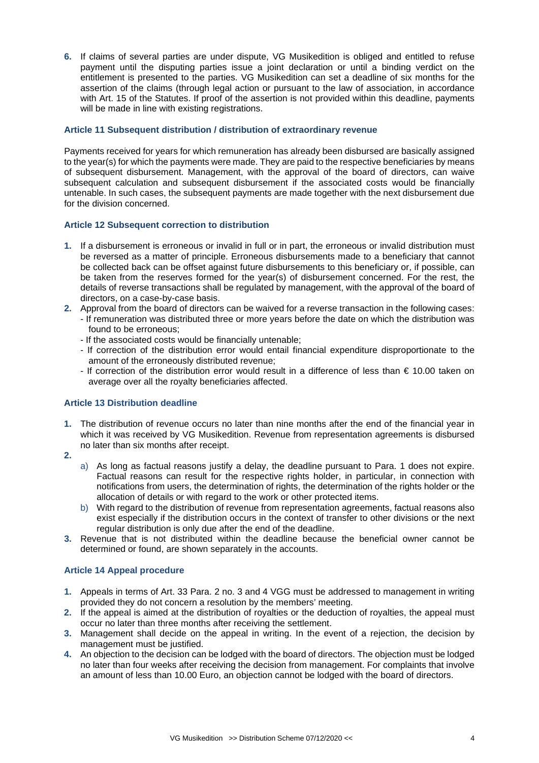**6.** If claims of several parties are under dispute, VG Musikedition is obliged and entitled to refuse payment until the disputing parties issue a joint declaration or until a binding verdict on the entitlement is presented to the parties. VG Musikedition can set a deadline of six months for the assertion of the claims (through legal action or pursuant to the law of association, in accordance with Art. 15 of the Statutes. If proof of the assertion is not provided within this deadline, payments will be made in line with existing registrations.

## **Article 11 Subsequent distribution / distribution of extraordinary revenue**

Payments received for years for which remuneration has already been disbursed are basically assigned to the year(s) for which the payments were made. They are paid to the respective beneficiaries by means of subsequent disbursement. Management, with the approval of the board of directors, can waive subsequent calculation and subsequent disbursement if the associated costs would be financially untenable. In such cases, the subsequent payments are made together with the next disbursement due for the division concerned.

## **Article 12 Subsequent correction to distribution**

- **1.** If a disbursement is erroneous or invalid in full or in part, the erroneous or invalid distribution must be reversed as a matter of principle. Erroneous disbursements made to a beneficiary that cannot be collected back can be offset against future disbursements to this beneficiary or, if possible, can be taken from the reserves formed for the year(s) of disbursement concerned. For the rest, the details of reverse transactions shall be regulated by management, with the approval of the board of directors, on a case-by-case basis.
- **2.** Approval from the board of directors can be waived for a reverse transaction in the following cases: - If remuneration was distributed three or more years before the date on which the distribution was found to be erroneous;
	- If the associated costs would be financially untenable;
	- If correction of the distribution error would entail financial expenditure disproportionate to the amount of the erroneously distributed revenue;
	- If correction of the distribution error would result in a difference of less than € 10.00 taken on average over all the royalty beneficiaries affected.

## **Article 13 Distribution deadline**

- **1.** The distribution of revenue occurs no later than nine months after the end of the financial year in which it was received by VG Musikedition. Revenue from representation agreements is disbursed no later than six months after receipt.
- **2.**
- a) As long as factual reasons justify a delay, the deadline pursuant to Para. 1 does not expire. Factual reasons can result for the respective rights holder, in particular, in connection with notifications from users, the determination of rights, the determination of the rights holder or the allocation of details or with regard to the work or other protected items.
- b) With regard to the distribution of revenue from representation agreements, factual reasons also exist especially if the distribution occurs in the context of transfer to other divisions or the next regular distribution is only due after the end of the deadline.
- **3.** Revenue that is not distributed within the deadline because the beneficial owner cannot be determined or found, are shown separately in the accounts.

## **Article 14 Appeal procedure**

- **1.** Appeals in terms of Art. 33 Para. 2 no. 3 and 4 VGG must be addressed to management in writing provided they do not concern a resolution by the members' meeting.
- **2.** If the appeal is aimed at the distribution of royalties or the deduction of royalties, the appeal must occur no later than three months after receiving the settlement.
- **3.** Management shall decide on the appeal in writing. In the event of a rejection, the decision by management must be justified.
- **4.** An objection to the decision can be lodged with the board of directors. The objection must be lodged no later than four weeks after receiving the decision from management. For complaints that involve an amount of less than 10.00 Euro, an objection cannot be lodged with the board of directors.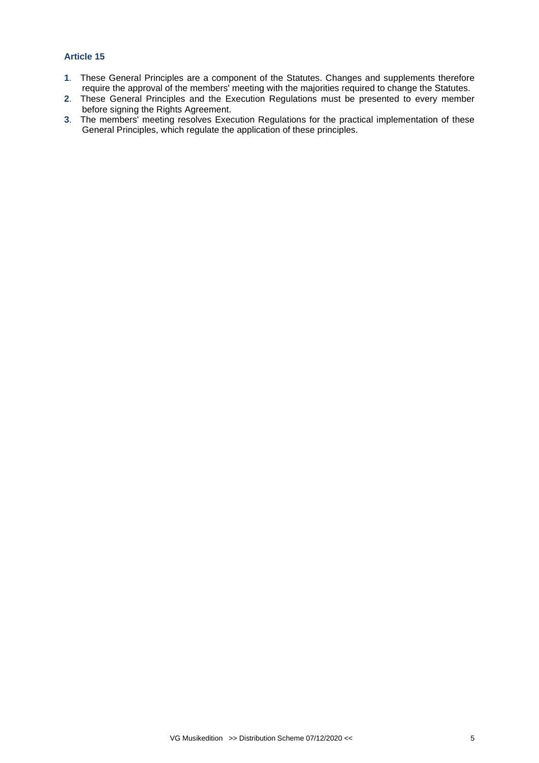# **Article 15**

- **1**. These General Principles are a component of the Statutes. Changes and supplements therefore require the approval of the members' meeting with the majorities required to change the Statutes.
- **2**. These General Principles and the Execution Regulations must be presented to every member before signing the Rights Agreement.
- **3**. The members' meeting resolves Execution Regulations for the practical implementation of these General Principles, which regulate the application of these principles.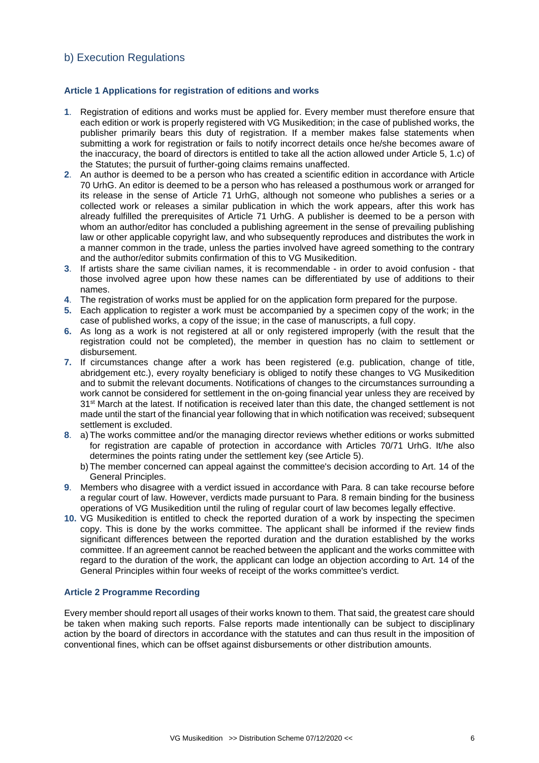# b) Execution Regulations

### **Article 1 Applications for registration of editions and works**

- **1**. Registration of editions and works must be applied for. Every member must therefore ensure that each edition or work is properly registered with VG Musikedition; in the case of published works, the publisher primarily bears this duty of registration. If a member makes false statements when submitting a work for registration or fails to notify incorrect details once he/she becomes aware of the inaccuracy, the board of directors is entitled to take all the action allowed under Article 5, 1.c) of the Statutes; the pursuit of further-going claims remains unaffected.
- **2**. An author is deemed to be a person who has created a scientific edition in accordance with Article 70 UrhG. An editor is deemed to be a person who has released a posthumous work or arranged for its release in the sense of Article 71 UrhG, although not someone who publishes a series or a collected work or releases a similar publication in which the work appears, after this work has already fulfilled the prerequisites of Article 71 UrhG. A publisher is deemed to be a person with whom an author/editor has concluded a publishing agreement in the sense of prevailing publishing law or other applicable copyright law, and who subsequently reproduces and distributes the work in a manner common in the trade, unless the parties involved have agreed something to the contrary and the author/editor submits confirmation of this to VG Musikedition.
- **3**. If artists share the same civilian names, it is recommendable in order to avoid confusion that those involved agree upon how these names can be differentiated by use of additions to their names.
- **4**. The registration of works must be applied for on the application form prepared for the purpose.
- **5.** Each application to register a work must be accompanied by a specimen copy of the work; in the case of published works, a copy of the issue; in the case of manuscripts, a full copy.
- **6.** As long as a work is not registered at all or only registered improperly (with the result that the registration could not be completed), the member in question has no claim to settlement or disbursement.
- **7.** If circumstances change after a work has been registered (e.g. publication, change of title, abridgement etc.), every royalty beneficiary is obliged to notify these changes to VG Musikedition and to submit the relevant documents. Notifications of changes to the circumstances surrounding a work cannot be considered for settlement in the on-going financial year unless they are received by 31<sup>st</sup> March at the latest. If notification is received later than this date, the changed settlement is not made until the start of the financial year following that in which notification was received; subsequent settlement is excluded.
- **8**. a) The works committee and/or the managing director reviews whether editions or works submitted for registration are capable of protection in accordance with Articles 70/71 UrhG. It/he also determines the points rating under the settlement key (see Article 5).
	- b) The member concerned can appeal against the committee's decision according to Art. 14 of the General Principles.
- **9**. Members who disagree with a verdict issued in accordance with Para. 8 can take recourse before a regular court of law. However, verdicts made pursuant to Para. 8 remain binding for the business operations of VG Musikedition until the ruling of regular court of law becomes legally effective.
- **10.** VG Musikedition is entitled to check the reported duration of a work by inspecting the specimen copy. This is done by the works committee. The applicant shall be informed if the review finds significant differences between the reported duration and the duration established by the works committee. If an agreement cannot be reached between the applicant and the works committee with regard to the duration of the work, the applicant can lodge an objection according to Art. 14 of the General Principles within four weeks of receipt of the works committee's verdict.

### **Article 2 Programme Recording**

Every member should report all usages of their works known to them. That said, the greatest care should be taken when making such reports. False reports made intentionally can be subject to disciplinary action by the board of directors in accordance with the statutes and can thus result in the imposition of conventional fines, which can be offset against disbursements or other distribution amounts.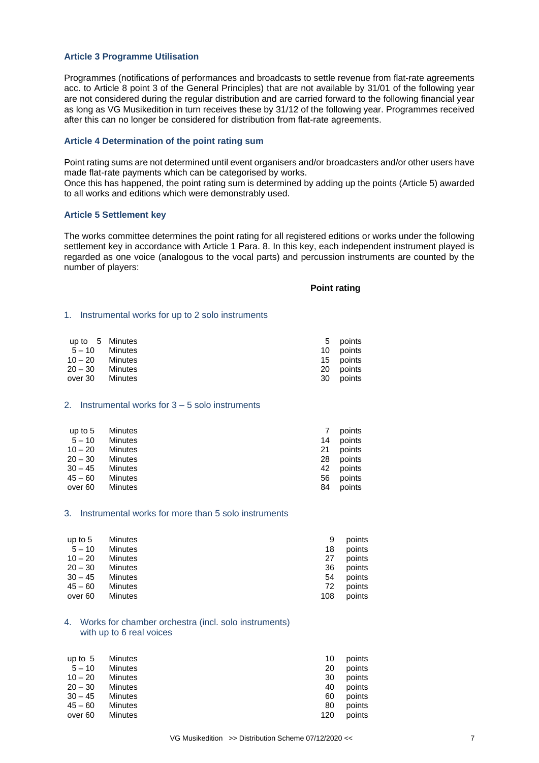#### **Article 3 Programme Utilisation**

Programmes (notifications of performances and broadcasts to settle revenue from flat-rate agreements acc. to Article 8 point 3 of the General Principles) that are not available by 31/01 of the following year are not considered during the regular distribution and are carried forward to the following financial year as long as VG Musikedition in turn receives these by 31/12 of the following year. Programmes received after this can no longer be considered for distribution from flat-rate agreements.

#### **Article 4 Determination of the point rating sum**

Point rating sums are not determined until event organisers and/or broadcasters and/or other users have made flat-rate payments which can be categorised by works.

Once this has happened, the point rating sum is determined by adding up the points (Article 5) awarded to all works and editions which were demonstrably used.

#### **Article 5 Settlement key**

The works committee determines the point rating for all registered editions or works under the following settlement key in accordance with Article 1 Para. 8. In this key, each independent instrument played is regarded as one voice (analogous to the vocal parts) and percussion instruments are counted by the number of players:

#### **Point rating**

#### 1. Instrumental works for up to 2 solo instruments

| up to 5 Minutes |         |    | 5 points  |
|-----------------|---------|----|-----------|
| 5-10 Minutes    |         |    | 10 points |
| $10 - 20$       | Minutes |    | 15 points |
| $20 - 30$       | Minutes |    | 20 points |
| over 30 Minutes |         | 30 | points    |

#### 2. Instrumental works for 3 – 5 solo instruments

| up to $5$ | Minutes |    | points |
|-----------|---------|----|--------|
| $5 - 10$  | Minutes | 14 | points |
| $10 - 20$ | Minutes | 21 | points |
| $20 - 30$ | Minutes | 28 | points |
| $30 - 45$ | Minutes | 42 | points |
| $45 - 60$ | Minutes | 56 | points |
| over 60   | Minutes | 84 | points |

#### 3. Instrumental works for more than 5 solo instruments

| up to $5$ | <b>Minutes</b> | 9   | points |
|-----------|----------------|-----|--------|
| $5 - 10$  | Minutes        | 18  | points |
| $10 - 20$ | Minutes        | 27  | points |
| $20 - 30$ | Minutes        | 36  | points |
| $30 - 45$ | Minutes        | 54  | points |
| $45 - 60$ | Minutes        | 72  | points |
| over 60   | Minutes        | 108 | points |

#### 4. Works for chamber orchestra (incl. solo instruments) with up to 6 real voices

| up to $5$ | <b>Minutes</b> | 10  | points |
|-----------|----------------|-----|--------|
| $5 - 10$  | Minutes        | 20  | points |
| $10 - 20$ | Minutes        | 30  | points |
| $20 - 30$ | <b>Minutes</b> | 40  | points |
| $30 - 45$ | Minutes        | 60  | points |
| $45 - 60$ | <b>Minutes</b> | 80  | points |
| over 60   | Minutes        | 120 | points |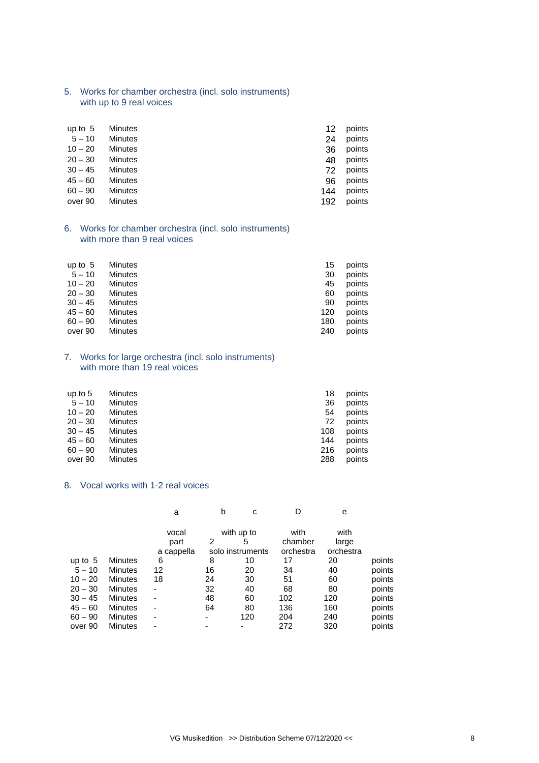5. Works for chamber orchestra (incl. solo instruments) with up to 9 real voices

| up to $5$ | Minutes | 12  | points |
|-----------|---------|-----|--------|
| $5 - 10$  | Minutes | 24  | points |
| $10 - 20$ | Minutes | 36  | points |
| $20 - 30$ | Minutes | 48  | points |
| $30 - 45$ | Minutes | 72  | points |
| $45 - 60$ | Minutes | 96  | points |
| $60 - 90$ | Minutes | 144 | points |
| over 90   | Minutes | 192 | points |
|           |         |     |        |

6. Works for chamber orchestra (incl. solo instruments) with more than 9 real voices

| up to $5$ | <b>Minutes</b> | 15  | points |
|-----------|----------------|-----|--------|
| $5 - 10$  | <b>Minutes</b> | 30  | points |
| $10 - 20$ | Minutes        | 45  | points |
| $20 - 30$ | <b>Minutes</b> | 60  | points |
| $30 - 45$ | <b>Minutes</b> | 90  | points |
| $45 - 60$ | Minutes        | 120 | points |
| $60 - 90$ | Minutes        | 180 | points |
| over 90   | <b>Minutes</b> | 240 | points |

#### 7. Works for large orchestra (incl. solo instruments) with more than 19 real voices

| Minutes<br>$5 - 10$<br>36<br>points<br>$10 - 20$<br>Minutes<br>points<br>54<br>$20 - 30$<br><b>Minutes</b><br>points<br>72<br>$30 - 45$<br>Minutes<br>108<br>points<br>$45 - 60$<br>points<br><b>Minutes</b><br>144<br>$60 - 90$<br>points<br><b>Minutes</b><br>216<br><b>Minutes</b><br>288<br>points<br>over 90 | up to $5$ | Minutes | 18 | points |
|-------------------------------------------------------------------------------------------------------------------------------------------------------------------------------------------------------------------------------------------------------------------------------------------------------------------|-----------|---------|----|--------|
|                                                                                                                                                                                                                                                                                                                   |           |         |    |        |
|                                                                                                                                                                                                                                                                                                                   |           |         |    |        |
|                                                                                                                                                                                                                                                                                                                   |           |         |    |        |
|                                                                                                                                                                                                                                                                                                                   |           |         |    |        |
|                                                                                                                                                                                                                                                                                                                   |           |         |    |        |
|                                                                                                                                                                                                                                                                                                                   |           |         |    |        |
|                                                                                                                                                                                                                                                                                                                   |           |         |    |        |

### 8. Vocal works with 1-2 real voices

|           |                | a          | b  | c                | D         | е         |        |
|-----------|----------------|------------|----|------------------|-----------|-----------|--------|
|           |                | vocal      |    | with up to       | with      | with      |        |
|           |                | part       | 2  | 5                | chamber   | large     |        |
|           |                | a cappella |    | solo instruments | orchestra | orchestra |        |
| up to $5$ | <b>Minutes</b> | 6          | 8  | 10               | 17        | 20        | points |
| $5 - 10$  | <b>Minutes</b> | 12         | 16 | 20               | 34        | 40        | points |
| $10 - 20$ | Minutes        | 18         | 24 | 30               | 51        | 60        | points |
| $20 - 30$ | <b>Minutes</b> | ٠          | 32 | 40               | 68        | 80        | points |
| $30 - 45$ | <b>Minutes</b> | ٠          | 48 | 60               | 102       | 120       | points |
| $45 - 60$ | <b>Minutes</b> | ۰          | 64 | 80               | 136       | 160       | points |
| $60 - 90$ | <b>Minutes</b> | ۰          |    | 120              | 204       | 240       | points |
| over 90   | Minutes        |            |    |                  | 272       | 320       | points |
|           |                |            |    |                  |           |           |        |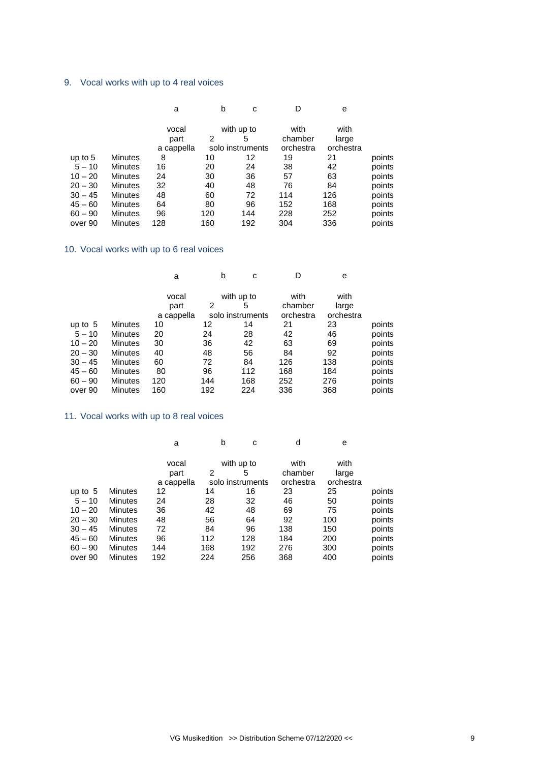# 9. Vocal works with up to 4 real voices

|                | a          |     | c   | D                                   | e         |        |
|----------------|------------|-----|-----|-------------------------------------|-----------|--------|
|                | vocal      |     |     | with                                | with      |        |
|                | part       | 2   | 5   | chamber                             | large     |        |
|                | a cappella |     |     | orchestra                           | orchestra |        |
| <b>Minutes</b> | 8          | 10  | 12  | 19                                  | 21        | points |
| Minutes        | 16         | 20  | 24  | 38                                  | 42        | points |
| <b>Minutes</b> | 24         | 30  | 36  | 57                                  | 63        | points |
| <b>Minutes</b> | 32         | 40  | 48  | 76                                  | 84        | points |
| <b>Minutes</b> | 48         | 60  | 72  | 114                                 | 126       | points |
| <b>Minutes</b> | 64         | 80  | 96  | 152                                 | 168       | points |
| <b>Minutes</b> | 96         | 120 | 144 | 228                                 | 252       | points |
| Minutes        | 128        | 160 | 192 | 304                                 | 336       | points |
|                |            |     |     | b<br>with up to<br>solo instruments |           |        |

# 10. Vocal works with up to 6 real voices

|           |                | a                |     | b<br>с                | D                    | e                  |        |
|-----------|----------------|------------------|-----|-----------------------|----------------------|--------------------|--------|
|           |                | vocal            |     | with up to            | with                 | with               |        |
|           |                | part             | 2   | 5<br>solo instruments | chamber<br>orchestra | large<br>orchestra |        |
| up to $5$ | Minutes        | a cappella<br>10 | 12  | 14                    | 21                   | 23                 | points |
| $5 - 10$  | <b>Minutes</b> | 20               | 24  | 28                    | 42                   | 46                 | points |
| $10 - 20$ | <b>Minutes</b> | 30               | 36  | 42                    | 63                   | 69                 | points |
| $20 - 30$ | <b>Minutes</b> | 40               | 48  | 56                    | 84                   | 92                 | points |
| $30 - 45$ | <b>Minutes</b> | 60               | 72  | 84                    | 126                  | 138                | points |
| $45 - 60$ | <b>Minutes</b> | 80               | 96  | 112                   | 168                  | 184                | points |
| $60 - 90$ | <b>Minutes</b> | 120              | 144 | 168                   | 252                  | 276                | points |
| over 90   | <b>Minutes</b> | 160              | 192 | 224                   | 336                  | 368                | points |

# 11. Vocal works with up to 8 real voices

|                | a     |            | c   | d                                   | e         |        |
|----------------|-------|------------|-----|-------------------------------------|-----------|--------|
|                | vocal |            |     | with                                | with      |        |
|                | part  | 2          | 5   | chamber                             | large     |        |
|                |       |            |     | orchestra                           | orchestra |        |
| <b>Minutes</b> | 12    | 14         | 16  | 23                                  | 25        | points |
| <b>Minutes</b> | 24    | 28         | 32  | 46                                  | 50        | points |
| <b>Minutes</b> | 36    | 42         | 48  | 69                                  | 75        | points |
| <b>Minutes</b> | 48    | 56         | 64  | 92                                  | 100       | points |
| <b>Minutes</b> | 72    | 84         | 96  | 138                                 | 150       | points |
| <b>Minutes</b> | 96    | 112        | 128 | 184                                 | 200       | points |
| Minutes        | 144   | 168        | 192 | 276                                 | 300       | points |
| <b>Minutes</b> | 192   | 224        | 256 | 368                                 | 400       | points |
|                |       | a cappella |     | b<br>with up to<br>solo instruments |           |        |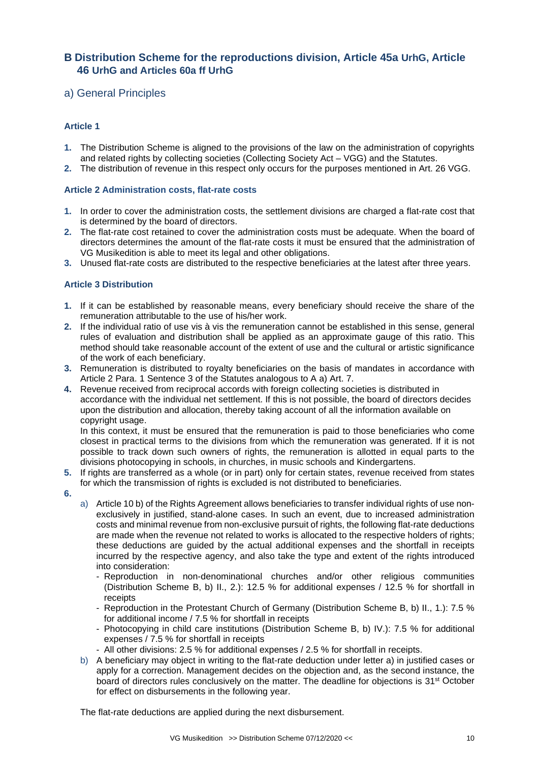# **B Distribution Scheme for the reproductions division, Article 45a UrhG, Article 46 UrhG and Articles 60a ff UrhG**

# a) General Principles

# **Article 1**

- **1.** The Distribution Scheme is aligned to the provisions of the law on the administration of copyrights and related rights by collecting societies (Collecting Society Act – VGG) and the Statutes.
- **2.** The distribution of revenue in this respect only occurs for the purposes mentioned in Art. 26 VGG.

#### **Article 2 Administration costs, flat-rate costs**

- **1.** In order to cover the administration costs, the settlement divisions are charged a flat-rate cost that is determined by the board of directors.
- **2.** The flat-rate cost retained to cover the administration costs must be adequate. When the board of directors determines the amount of the flat-rate costs it must be ensured that the administration of VG Musikedition is able to meet its legal and other obligations.
- **3.** Unused flat-rate costs are distributed to the respective beneficiaries at the latest after three years.

## **Article 3 Distribution**

- **1.** If it can be established by reasonable means, every beneficiary should receive the share of the remuneration attributable to the use of his/her work.
- **2.** If the individual ratio of use vis à vis the remuneration cannot be established in this sense, general rules of evaluation and distribution shall be applied as an approximate gauge of this ratio. This method should take reasonable account of the extent of use and the cultural or artistic significance of the work of each beneficiary.
- **3.** Remuneration is distributed to royalty beneficiaries on the basis of mandates in accordance with Article 2 Para. 1 Sentence 3 of the Statutes analogous to A a) Art. 7.
- **4.** Revenue received from reciprocal accords with foreign collecting societies is distributed in accordance with the individual net settlement. If this is not possible, the board of directors decides upon the distribution and allocation, thereby taking account of all the information available on copyright usage.

In this context, it must be ensured that the remuneration is paid to those beneficiaries who come closest in practical terms to the divisions from which the remuneration was generated. If it is not possible to track down such owners of rights, the remuneration is allotted in equal parts to the divisions photocopying in schools, in churches, in music schools and Kindergartens.

- **5.** If rights are transferred as a whole (or in part) only for certain states, revenue received from states for which the transmission of rights is excluded is not distributed to beneficiaries.
- **6.**
- a) Article 10 b) of the Rights Agreement allows beneficiaries to transfer individual rights of use nonexclusively in justified, stand-alone cases. In such an event, due to increased administration costs and minimal revenue from non-exclusive pursuit of rights, the following flat-rate deductions are made when the revenue not related to works is allocated to the respective holders of rights; these deductions are guided by the actual additional expenses and the shortfall in receipts incurred by the respective agency, and also take the type and extent of the rights introduced into consideration:
	- Reproduction in non-denominational churches and/or other religious communities (Distribution Scheme B, b) II., 2.): 12.5 % for additional expenses / 12.5 % for shortfall in receipts
	- Reproduction in the Protestant Church of Germany (Distribution Scheme B, b) II., 1.): 7.5 % for additional income / 7.5 % for shortfall in receipts
	- Photocopying in child care institutions (Distribution Scheme B, b) IV.): 7.5 % for additional expenses / 7.5 % for shortfall in receipts
	- All other divisions: 2.5 % for additional expenses / 2.5 % for shortfall in receipts.
- b) A beneficiary may object in writing to the flat-rate deduction under letter a) in justified cases or apply for a correction. Management decides on the objection and, as the second instance, the board of directors rules conclusively on the matter. The deadline for objections is 31st October for effect on disbursements in the following year.

The flat-rate deductions are applied during the next disbursement.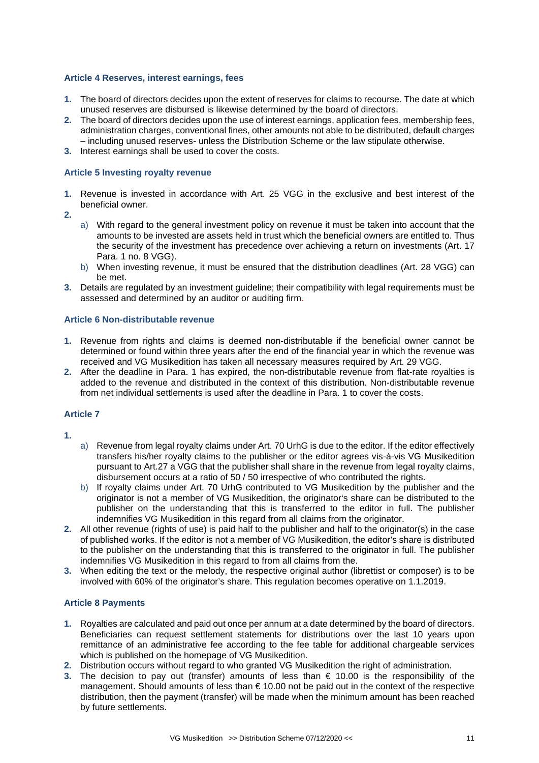#### **Article 4 Reserves, interest earnings, fees**

- **1.** The board of directors decides upon the extent of reserves for claims to recourse. The date at which unused reserves are disbursed is likewise determined by the board of directors.
- **2.** The board of directors decides upon the use of interest earnings, application fees, membership fees, administration charges, conventional fines, other amounts not able to be distributed, default charges – including unused reserves- unless the Distribution Scheme or the law stipulate otherwise.
- **3.** Interest earnings shall be used to cover the costs.

#### **Article 5 Investing royalty revenue**

- **1.** Revenue is invested in accordance with Art. 25 VGG in the exclusive and best interest of the beneficial owner.
- **2.**
- a) With regard to the general investment policy on revenue it must be taken into account that the amounts to be invested are assets held in trust which the beneficial owners are entitled to. Thus the security of the investment has precedence over achieving a return on investments (Art. 17 Para. 1 no. 8 VGG).
- b) When investing revenue, it must be ensured that the distribution deadlines (Art. 28 VGG) can be met.
- **3.** Details are regulated by an investment guideline; their compatibility with legal requirements must be assessed and determined by an auditor or auditing firm.

#### **Article 6 Non-distributable revenue**

- **1.** Revenue from rights and claims is deemed non-distributable if the beneficial owner cannot be determined or found within three years after the end of the financial year in which the revenue was received and VG Musikedition has taken all necessary measures required by Art. 29 VGG.
- **2.** After the deadline in Para. 1 has expired, the non-distributable revenue from flat-rate royalties is added to the revenue and distributed in the context of this distribution. Non-distributable revenue from net individual settlements is used after the deadline in Para. 1 to cover the costs.

#### **Article 7**

- **1.**
- a) Revenue from legal royalty claims under Art. 70 UrhG is due to the editor. If the editor effectively transfers his/her royalty claims to the publisher or the editor agrees vis-à-vis VG Musikedition pursuant to Art.27 a VGG that the publisher shall share in the revenue from legal royalty claims, disbursement occurs at a ratio of 50 / 50 irrespective of who contributed the rights.
- b) If royalty claims under Art. 70 UrhG contributed to VG Musikedition by the publisher and the originator is not a member of VG Musikedition, the originator's share can be distributed to the publisher on the understanding that this is transferred to the editor in full. The publisher indemnifies VG Musikedition in this regard from all claims from the originator.
- **2.** All other revenue (rights of use) is paid half to the publisher and half to the originator(s) in the case of published works. If the editor is not a member of VG Musikedition, the editor's share is distributed to the publisher on the understanding that this is transferred to the originator in full. The publisher indemnifies VG Musikedition in this regard to from all claims from the.
- **3.** When editing the text or the melody, the respective original author (librettist or composer) is to be involved with 60% of the originator's share. This regulation becomes operative on 1.1.2019.

## **Article 8 Payments**

- **1.** Royalties are calculated and paid out once per annum at a date determined by the board of directors. Beneficiaries can request settlement statements for distributions over the last 10 years upon remittance of an administrative fee according to the fee table for additional chargeable services which is published on the homepage of VG Musikedition.
- **2.** Distribution occurs without regard to who granted VG Musikedition the right of administration.
- **3.** The decision to pay out (transfer) amounts of less than € 10.00 is the responsibility of the management. Should amounts of less than € 10.00 not be paid out in the context of the respective distribution, then the payment (transfer) will be made when the minimum amount has been reached by future settlements.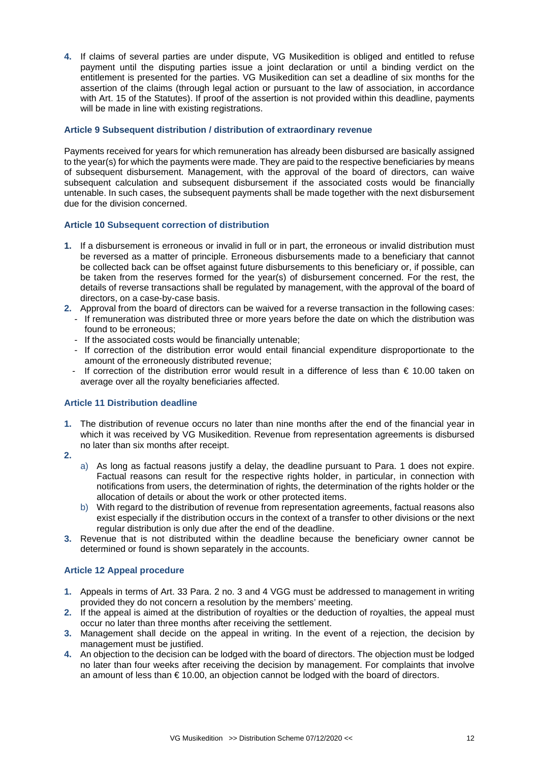**4.** If claims of several parties are under dispute, VG Musikedition is obliged and entitled to refuse payment until the disputing parties issue a joint declaration or until a binding verdict on the entitlement is presented for the parties. VG Musikedition can set a deadline of six months for the assertion of the claims (through legal action or pursuant to the law of association, in accordance with Art. 15 of the Statutes). If proof of the assertion is not provided within this deadline, payments will be made in line with existing registrations.

### **Article 9 Subsequent distribution / distribution of extraordinary revenue**

Payments received for years for which remuneration has already been disbursed are basically assigned to the year(s) for which the payments were made. They are paid to the respective beneficiaries by means of subsequent disbursement. Management, with the approval of the board of directors, can waive subsequent calculation and subsequent disbursement if the associated costs would be financially untenable. In such cases, the subsequent payments shall be made together with the next disbursement due for the division concerned.

# **Article 10 Subsequent correction of distribution**

- **1.** If a disbursement is erroneous or invalid in full or in part, the erroneous or invalid distribution must be reversed as a matter of principle. Erroneous disbursements made to a beneficiary that cannot be collected back can be offset against future disbursements to this beneficiary or, if possible, can be taken from the reserves formed for the year(s) of disbursement concerned. For the rest, the details of reverse transactions shall be regulated by management, with the approval of the board of directors, on a case-by-case basis.
- **2.** Approval from the board of directors can be waived for a reverse transaction in the following cases: - If remuneration was distributed three or more years before the date on which the distribution was found to be erroneous;
	- If the associated costs would be financially untenable;
	- If correction of the distribution error would entail financial expenditure disproportionate to the amount of the erroneously distributed revenue;
	- If correction of the distribution error would result in a difference of less than  $\epsilon$  10.00 taken on average over all the royalty beneficiaries affected.

## **Article 11 Distribution deadline**

- **1.** The distribution of revenue occurs no later than nine months after the end of the financial year in which it was received by VG Musikedition. Revenue from representation agreements is disbursed no later than six months after receipt.
- **2.**
- a) As long as factual reasons justify a delay, the deadline pursuant to Para. 1 does not expire. Factual reasons can result for the respective rights holder, in particular, in connection with notifications from users, the determination of rights, the determination of the rights holder or the allocation of details or about the work or other protected items.
- b) With regard to the distribution of revenue from representation agreements, factual reasons also exist especially if the distribution occurs in the context of a transfer to other divisions or the next regular distribution is only due after the end of the deadline.
- **3.** Revenue that is not distributed within the deadline because the beneficiary owner cannot be determined or found is shown separately in the accounts.

#### **Article 12 Appeal procedure**

- **1.** Appeals in terms of Art. 33 Para. 2 no. 3 and 4 VGG must be addressed to management in writing provided they do not concern a resolution by the members' meeting.
- **2.** If the appeal is aimed at the distribution of royalties or the deduction of royalties, the appeal must occur no later than three months after receiving the settlement.
- **3.** Management shall decide on the appeal in writing. In the event of a rejection, the decision by management must be justified.
- **4.** An objection to the decision can be lodged with the board of directors. The objection must be lodged no later than four weeks after receiving the decision by management. For complaints that involve an amount of less than  $\epsilon$  10.00, an objection cannot be lodged with the board of directors.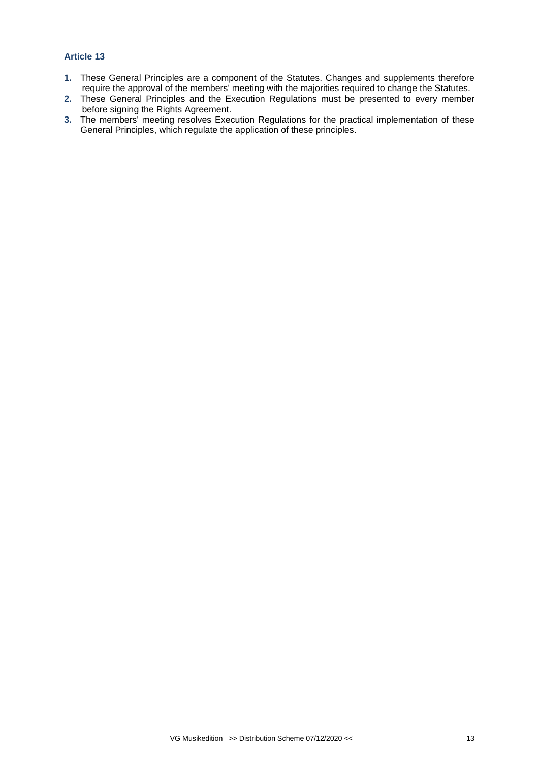## **Article 13**

- **1.** These General Principles are a component of the Statutes. Changes and supplements therefore require the approval of the members' meeting with the majorities required to change the Statutes.
- **2.** These General Principles and the Execution Regulations must be presented to every member before signing the Rights Agreement.
- **3.** The members' meeting resolves Execution Regulations for the practical implementation of these General Principles, which regulate the application of these principles.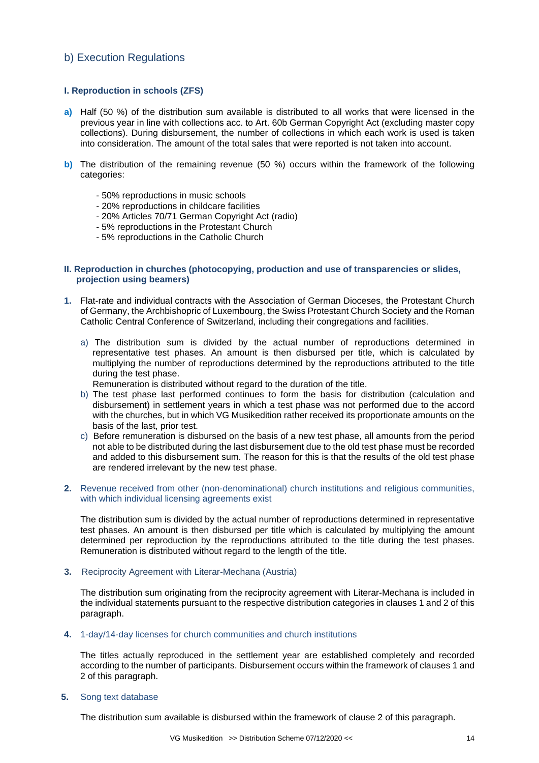# b) Execution Regulations

### **I. Reproduction in schools (ZFS)**

- **a)** Half (50 %) of the distribution sum available is distributed to all works that were licensed in the previous year in line with collections acc. to Art. 60b German Copyright Act (excluding master copy collections). During disbursement, the number of collections in which each work is used is taken into consideration. The amount of the total sales that were reported is not taken into account.
- **b)** The distribution of the remaining revenue (50 %) occurs within the framework of the following categories:
	- 50% reproductions in music schools
	- 20% reproductions in childcare facilities
	- 20% Articles 70/71 German Copyright Act (radio)
	- 5% reproductions in the Protestant Church
	- 5% reproductions in the Catholic Church

#### **II. Reproduction in churches (photocopying, production and use of transparencies or slides, projection using beamers)**

- **1.** Flat-rate and individual contracts with the Association of German Dioceses, the Protestant Church of Germany, the Archbishopric of Luxembourg, the Swiss Protestant Church Society and the Roman Catholic Central Conference of Switzerland, including their congregations and facilities.
	- a) The distribution sum is divided by the actual number of reproductions determined in representative test phases. An amount is then disbursed per title, which is calculated by multiplying the number of reproductions determined by the reproductions attributed to the title during the test phase.

Remuneration is distributed without regard to the duration of the title.

- b) The test phase last performed continues to form the basis for distribution (calculation and disbursement) in settlement years in which a test phase was not performed due to the accord with the churches, but in which VG Musikedition rather received its proportionate amounts on the basis of the last, prior test.
- c) Before remuneration is disbursed on the basis of a new test phase, all amounts from the period not able to be distributed during the last disbursement due to the old test phase must be recorded and added to this disbursement sum. The reason for this is that the results of the old test phase are rendered irrelevant by the new test phase.
- **2.** Revenue received from other (non-denominational) church institutions and religious communities, with which individual licensing agreements exist

The distribution sum is divided by the actual number of reproductions determined in representative test phases. An amount is then disbursed per title which is calculated by multiplying the amount determined per reproduction by the reproductions attributed to the title during the test phases. Remuneration is distributed without regard to the length of the title.

**3.** Reciprocity Agreement with Literar-Mechana (Austria)

The distribution sum originating from the reciprocity agreement with Literar-Mechana is included in the individual statements pursuant to the respective distribution categories in clauses 1 and 2 of this paragraph.

**4.** 1-day/14-day licenses for church communities and church institutions

The titles actually reproduced in the settlement year are established completely and recorded according to the number of participants. Disbursement occurs within the framework of clauses 1 and 2 of this paragraph.

**5.** Song text database

The distribution sum available is disbursed within the framework of clause 2 of this paragraph.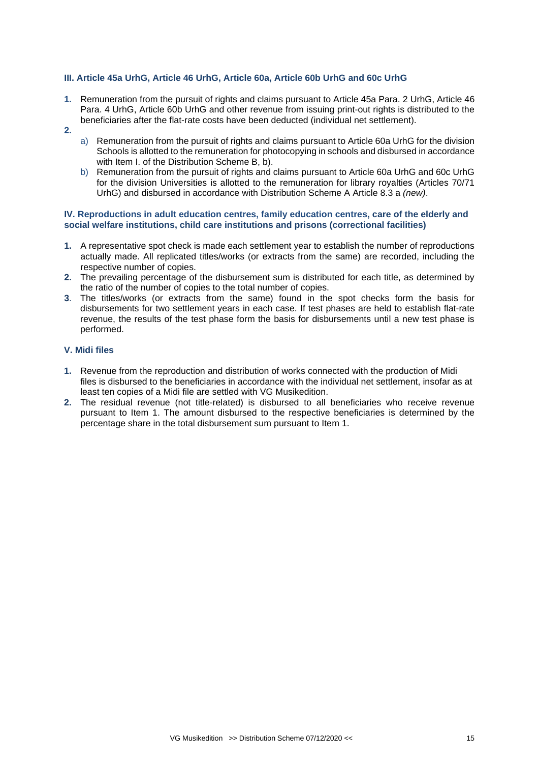#### **III. Article 45a UrhG, Article 46 UrhG, Article 60a, Article 60b UrhG and 60c UrhG**

- **1.** Remuneration from the pursuit of rights and claims pursuant to Article 45a Para. 2 UrhG, Article 46 Para. 4 UrhG, Article 60b UrhG and other revenue from issuing print-out rights is distributed to the beneficiaries after the flat-rate costs have been deducted (individual net settlement).
- **2.**
- a) Remuneration from the pursuit of rights and claims pursuant to Article 60a UrhG for the division Schools is allotted to the remuneration for photocopying in schools and disbursed in accordance with Item I. of the Distribution Scheme B, b).
- b) Remuneration from the pursuit of rights and claims pursuant to Article 60a UrhG and 60c UrhG for the division Universities is allotted to the remuneration for library royalties (Articles 70/71 UrhG) and disbursed in accordance with Distribution Scheme A Article 8.3 a *(new)*.

#### **IV. Reproductions in adult education centres, family education centres, care of the elderly and social welfare institutions, child care institutions and prisons (correctional facilities)**

- **1.** A representative spot check is made each settlement year to establish the number of reproductions actually made. All replicated titles/works (or extracts from the same) are recorded, including the respective number of copies.
- **2.** The prevailing percentage of the disbursement sum is distributed for each title, as determined by the ratio of the number of copies to the total number of copies.
- **3**. The titles/works (or extracts from the same) found in the spot checks form the basis for disbursements for two settlement years in each case. If test phases are held to establish flat-rate revenue, the results of the test phase form the basis for disbursements until a new test phase is performed.

#### **V. Midi files**

- **1.** Revenue from the reproduction and distribution of works connected with the production of Midi files is disbursed to the beneficiaries in accordance with the individual net settlement, insofar as at least ten copies of a Midi file are settled with VG Musikedition.
- **2.** The residual revenue (not title-related) is disbursed to all beneficiaries who receive revenue pursuant to Item 1. The amount disbursed to the respective beneficiaries is determined by the percentage share in the total disbursement sum pursuant to Item 1.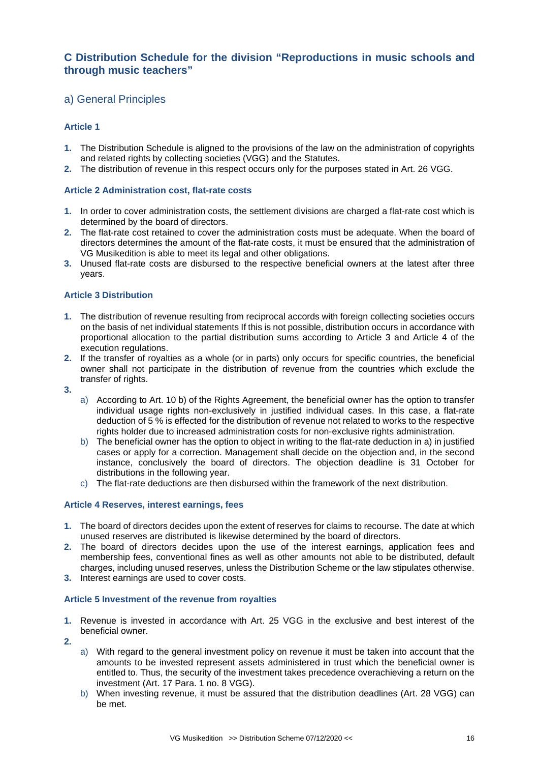# **C Distribution Schedule for the division "Reproductions in music schools and through music teachers"**

# a) General Principles

# **Article 1**

- **1.** The Distribution Schedule is aligned to the provisions of the law on the administration of copyrights and related rights by collecting societies (VGG) and the Statutes.
- **2.** The distribution of revenue in this respect occurs only for the purposes stated in Art. 26 VGG.

### **Article 2 Administration cost, flat-rate costs**

- **1.** In order to cover administration costs, the settlement divisions are charged a flat-rate cost which is determined by the board of directors.
- **2.** The flat-rate cost retained to cover the administration costs must be adequate. When the board of directors determines the amount of the flat-rate costs, it must be ensured that the administration of VG Musikedition is able to meet its legal and other obligations.
- **3.** Unused flat-rate costs are disbursed to the respective beneficial owners at the latest after three years.

#### **Article 3 Distribution**

- **1.** The distribution of revenue resulting from reciprocal accords with foreign collecting societies occurs on the basis of net individual statements If this is not possible, distribution occurs in accordance with proportional allocation to the partial distribution sums according to Article 3 and Article 4 of the execution regulations.
- **2.** If the transfer of royalties as a whole (or in parts) only occurs for specific countries, the beneficial owner shall not participate in the distribution of revenue from the countries which exclude the transfer of rights.
- **3.**
- a) According to Art. 10 b) of the Rights Agreement, the beneficial owner has the option to transfer individual usage rights non-exclusively in justified individual cases. In this case, a flat-rate deduction of 5 % is effected for the distribution of revenue not related to works to the respective rights holder due to increased administration costs for non-exclusive rights administration.
- b) The beneficial owner has the option to object in writing to the flat-rate deduction in a) in justified cases or apply for a correction. Management shall decide on the objection and, in the second instance, conclusively the board of directors. The objection deadline is 31 October for distributions in the following year.
- c) The flat-rate deductions are then disbursed within the framework of the next distribution.

## **Article 4 Reserves, interest earnings, fees**

- **1.** The board of directors decides upon the extent of reserves for claims to recourse. The date at which unused reserves are distributed is likewise determined by the board of directors.
- **2.** The board of directors decides upon the use of the interest earnings, application fees and membership fees, conventional fines as well as other amounts not able to be distributed, default charges, including unused reserves, unless the Distribution Scheme or the law stipulates otherwise.
- **3.** Interest earnings are used to cover costs.

#### **Article 5 Investment of the revenue from royalties**

- **1.** Revenue is invested in accordance with Art. 25 VGG in the exclusive and best interest of the beneficial owner.
- **2.**
- a) With regard to the general investment policy on revenue it must be taken into account that the amounts to be invested represent assets administered in trust which the beneficial owner is entitled to. Thus, the security of the investment takes precedence overachieving a return on the investment (Art. 17 Para. 1 no. 8 VGG).
- b) When investing revenue, it must be assured that the distribution deadlines (Art. 28 VGG) can be met.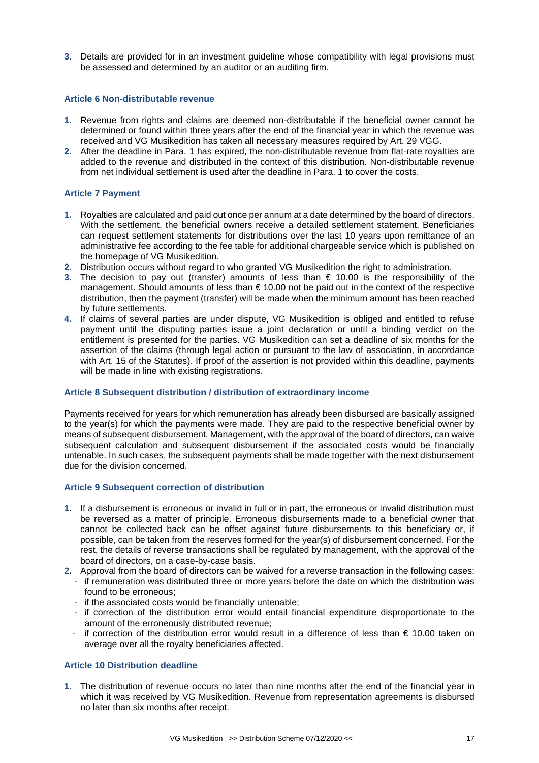**3.** Details are provided for in an investment guideline whose compatibility with legal provisions must be assessed and determined by an auditor or an auditing firm.

#### **Article 6 Non-distributable revenue**

- **1.** Revenue from rights and claims are deemed non-distributable if the beneficial owner cannot be determined or found within three years after the end of the financial year in which the revenue was received and VG Musikedition has taken all necessary measures required by Art. 29 VGG.
- **2.** After the deadline in Para. 1 has expired, the non-distributable revenue from flat-rate royalties are added to the revenue and distributed in the context of this distribution. Non-distributable revenue from net individual settlement is used after the deadline in Para. 1 to cover the costs.

## **Article 7 Payment**

- **1.** Royalties are calculated and paid out once per annum at a date determined by the board of directors. With the settlement, the beneficial owners receive a detailed settlement statement. Beneficiaries can request settlement statements for distributions over the last 10 years upon remittance of an administrative fee according to the fee table for additional chargeable service which is published on the homepage of VG Musikedition.
- **2.** Distribution occurs without regard to who granted VG Musikedition the right to administration.
- **3.** The decision to pay out (transfer) amounts of less than € 10.00 is the responsibility of the management. Should amounts of less than  $\epsilon$  10.00 not be paid out in the context of the respective distribution, then the payment (transfer) will be made when the minimum amount has been reached by future settlements.
- **4.** If claims of several parties are under dispute, VG Musikedition is obliged and entitled to refuse payment until the disputing parties issue a joint declaration or until a binding verdict on the entitlement is presented for the parties. VG Musikedition can set a deadline of six months for the assertion of the claims (through legal action or pursuant to the law of association, in accordance with Art. 15 of the Statutes). If proof of the assertion is not provided within this deadline, payments will be made in line with existing registrations.

#### **Article 8 Subsequent distribution / distribution of extraordinary income**

Payments received for years for which remuneration has already been disbursed are basically assigned to the year(s) for which the payments were made. They are paid to the respective beneficial owner by means of subsequent disbursement. Management, with the approval of the board of directors, can waive subsequent calculation and subsequent disbursement if the associated costs would be financially untenable. In such cases, the subsequent payments shall be made together with the next disbursement due for the division concerned.

#### **Article 9 Subsequent correction of distribution**

- **1.** If a disbursement is erroneous or invalid in full or in part, the erroneous or invalid distribution must be reversed as a matter of principle. Erroneous disbursements made to a beneficial owner that cannot be collected back can be offset against future disbursements to this beneficiary or, if possible, can be taken from the reserves formed for the year(s) of disbursement concerned. For the rest, the details of reverse transactions shall be regulated by management, with the approval of the board of directors, on a case-by-case basis.
- **2.** Approval from the board of directors can be waived for a reverse transaction in the following cases: - if remuneration was distributed three or more years before the date on which the distribution was found to be erroneous;
	- if the associated costs would be financially untenable;
	- if correction of the distribution error would entail financial expenditure disproportionate to the amount of the erroneously distributed revenue;
	- if correction of the distribution error would result in a difference of less than € 10.00 taken on average over all the royalty beneficiaries affected.

# **Article 10 Distribution deadline**

**1.** The distribution of revenue occurs no later than nine months after the end of the financial year in which it was received by VG Musikedition. Revenue from representation agreements is disbursed no later than six months after receipt.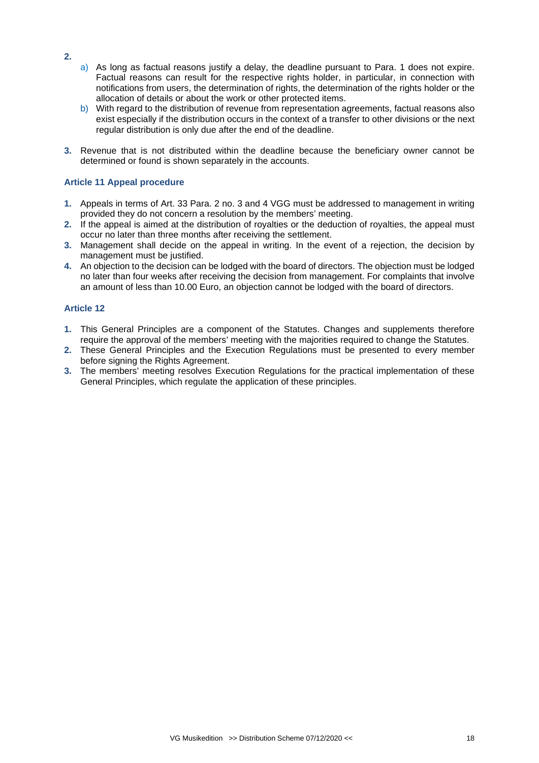- a) As long as factual reasons justify a delay, the deadline pursuant to Para. 1 does not expire. Factual reasons can result for the respective rights holder, in particular, in connection with notifications from users, the determination of rights, the determination of the rights holder or the allocation of details or about the work or other protected items.
- b) With regard to the distribution of revenue from representation agreements, factual reasons also exist especially if the distribution occurs in the context of a transfer to other divisions or the next regular distribution is only due after the end of the deadline.
- **3.** Revenue that is not distributed within the deadline because the beneficiary owner cannot be determined or found is shown separately in the accounts.

## **Article 11 Appeal procedure**

- **1.** Appeals in terms of Art. 33 Para. 2 no. 3 and 4 VGG must be addressed to management in writing provided they do not concern a resolution by the members' meeting.
- **2.** If the appeal is aimed at the distribution of royalties or the deduction of royalties, the appeal must occur no later than three months after receiving the settlement.
- **3.** Management shall decide on the appeal in writing. In the event of a rejection, the decision by management must be justified.
- **4.** An objection to the decision can be lodged with the board of directors. The objection must be lodged no later than four weeks after receiving the decision from management. For complaints that involve an amount of less than 10.00 Euro, an objection cannot be lodged with the board of directors.

#### **Article 12**

- **1.** This General Principles are a component of the Statutes. Changes and supplements therefore require the approval of the members' meeting with the majorities required to change the Statutes.
- **2.** These General Principles and the Execution Regulations must be presented to every member before signing the Rights Agreement.
- **3.** The members' meeting resolves Execution Regulations for the practical implementation of these General Principles, which regulate the application of these principles.

**2.**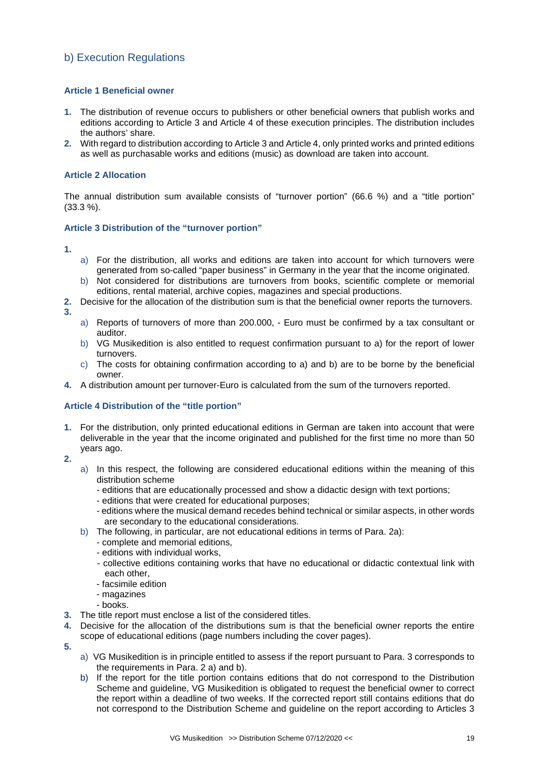# b) Execution Regulations

## **Article 1 Beneficial owner**

- **1.** The distribution of revenue occurs to publishers or other beneficial owners that publish works and editions according to Article 3 and Article 4 of these execution principles. The distribution includes the authors' share.
- **2.** With regard to distribution according to Article 3 and Article 4, only printed works and printed editions as well as purchasable works and editions (music) as download are taken into account.

### **Article 2 Allocation**

The annual distribution sum available consists of "turnover portion" (66.6 %) and a "title portion" (33.3 %).

#### **Article 3 Distribution of the "turnover portion"**

**1.**

- a) For the distribution, all works and editions are taken into account for which turnovers were generated from so-called "paper business" in Germany in the year that the income originated.
- b) Not considered for distributions are turnovers from books, scientific complete or memorial editions, rental material, archive copies, magazines and special productions.
- **2.** Decisive for the allocation of the distribution sum is that the beneficial owner reports the turnovers.
- **3.**
- a) Reports of turnovers of more than 200.000, Euro must be confirmed by a tax consultant or auditor.
- b) VG Musikedition is also entitled to request confirmation pursuant to a) for the report of lower turnovers.
- c) The costs for obtaining confirmation according to a) and b) are to be borne by the beneficial owner.
- **4.** A distribution amount per turnover-Euro is calculated from the sum of the turnovers reported.

## **Article 4 Distribution of the "title portion"**

- **1.** For the distribution, only printed educational editions in German are taken into account that were deliverable in the year that the income originated and published for the first time no more than 50 years ago.
- **2.**
	- a) In this respect, the following are considered educational editions within the meaning of this distribution scheme
		- editions that are educationally processed and show a didactic design with text portions;
		- editions that were created for educational purposes;
		- editions where the musical demand recedes behind technical or similar aspects, in other words are secondary to the educational considerations.
	- b) The following, in particular, are not educational editions in terms of Para. 2a):
		- complete and memorial editions,
		- editions with individual works,
		- collective editions containing works that have no educational or didactic contextual link with each other,
		- facsimile edition
		- magazines
		- books.
- **3.** The title report must enclose a list of the considered titles.
- **4.** Decisive for the allocation of the distributions sum is that the beneficial owner reports the entire scope of educational editions (page numbers including the cover pages).
- **5.**
- a) VG Musikedition is in principle entitled to assess if the report pursuant to Para. 3 corresponds to the requirements in Para. 2 a) and b).
- b) If the report for the title portion contains editions that do not correspond to the Distribution Scheme and guideline, VG Musikedition is obligated to request the beneficial owner to correct the report within a deadline of two weeks. If the corrected report still contains editions that do not correspond to the Distribution Scheme and guideline on the report according to Articles 3